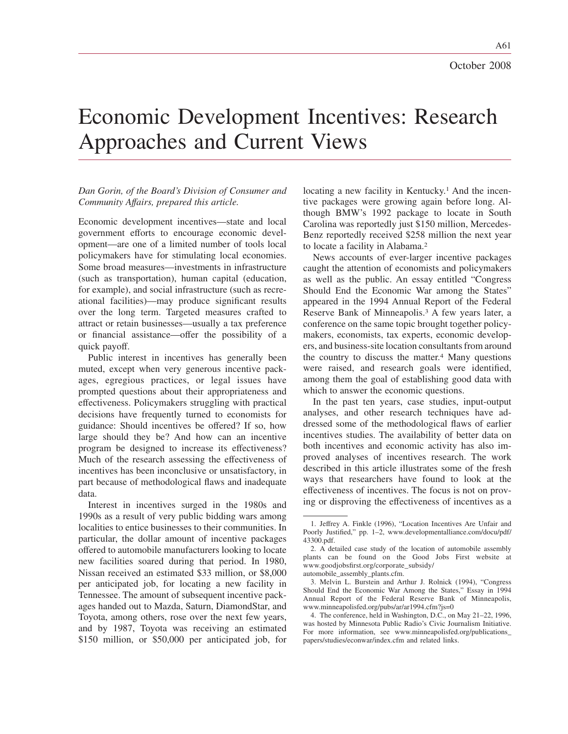A61

# Economic Development Incentives: Research Approaches and Current Views

## *Dan Gorin, of the Board's Division of Consumer and Community Affairs, prepared this article.*

Economic development incentives—state and local government efforts to encourage economic development—are one of a limited number of tools local policymakers have for stimulating local economies. Some broad measures—investments in infrastructure (such as transportation), human capital (education, for example), and social infrastructure (such as recreational facilities)—may produce significant results over the long term. Targeted measures crafted to attract or retain businesses—usually a tax preference or financial assistance—offer the possibility of a quick payoff.

Public interest in incentives has generally been muted, except when very generous incentive packages, egregious practices, or legal issues have prompted questions about their appropriateness and effectiveness. Policymakers struggling with practical decisions have frequently turned to economists for guidance: Should incentives be offered? If so, how large should they be? And how can an incentive program be designed to increase its effectiveness? Much of the research assessing the effectiveness of incentives has been inconclusive or unsatisfactory, in part because of methodological flaws and inadequate data.

Interest in incentives surged in the 1980s and 1990s as a result of very public bidding wars among localities to entice businesses to their communities. In particular, the dollar amount of incentive packages offered to automobile manufacturers looking to locate new facilities soared during that period. In 1980, Nissan received an estimated \$33 million, or \$8,000 per anticipated job, for locating a new facility in Tennessee. The amount of subsequent incentive packages handed out to Mazda, Saturn, DiamondStar, and Toyota, among others, rose over the next few years, and by 1987, Toyota was receiving an estimated \$150 million, or \$50,000 per anticipated job, for locating a new facility in Kentucky.<sup>1</sup> And the incentive packages were growing again before long. Although BMW's 1992 package to locate in South Carolina was reportedly just \$150 million, Mercedes-Benz reportedly received \$258 million the next year to locate a facility in Alabama.2

News accounts of ever-larger incentive packages caught the attention of economists and policymakers as well as the public. An essay entitled "Congress Should End the Economic War among the States" appeared in the 1994 Annual Report of the Federal Reserve Bank of Minneapolis.3 A few years later, a conference on the same topic brought together policymakers, economists, tax experts, economic developers, and business-site location consultants from around the country to discuss the matter. $4$  Many questions were raised, and research goals were identified, among them the goal of establishing good data with which to answer the economic questions.

In the past ten years, case studies, input-output analyses, and other research techniques have addressed some of the methodological flaws of earlier incentives studies. The availability of better data on both incentives and economic activity has also improved analyses of incentives research. The work described in this article illustrates some of the fresh ways that researchers have found to look at the effectiveness of incentives. The focus is not on proving or disproving the effectiveness of incentives as a

<sup>1.</sup> Jeffrey A. Finkle (1996), "Location Incentives Are Unfair and Poorly Justified," pp. 1–2, www.developmentalliance.com/docu/pdf/ 43300.pdf.

<sup>2.</sup> A detailed case study of the location of automobile assembly plants can be found on the Good Jobs First website at www.goodjobsfirst.org/corporate\_subsidy/

automobile\_assembly\_plants.cfm.

<sup>3.</sup> Melvin L. Burstein and Arthur J. Rolnick (1994), "Congress Should End the Economic War Among the States," Essay in 1994 Annual Report of the Federal Reserve Bank of Minneapolis, www.minneapolisfed.org/pubs/ar/ar1994.cfm?js=0

<sup>4.</sup> The conference, held in Washington, D.C., on May 21–22, 1996, was hosted by Minnesota Public Radio's Civic Journalism Initiative. For more information, see www.minneapolisfed.org/publications\_ papers/studies/econwar/index.cfm and related links.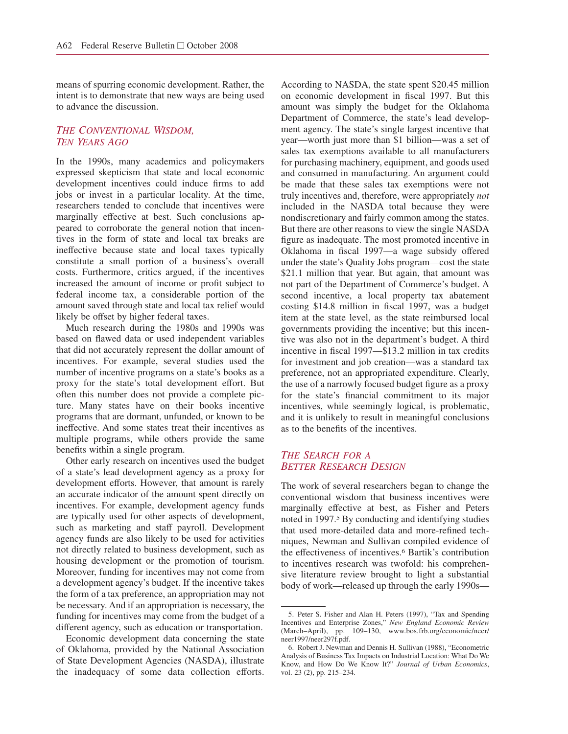means of spurring economic development. Rather, the intent is to demonstrate that new ways are being used to advance the discussion.

## *THE CONVENTIONAL WISDOM, TEN YEARS AGO*

In the 1990s, many academics and policymakers expressed skepticism that state and local economic development incentives could induce firms to add jobs or invest in a particular locality. At the time, researchers tended to conclude that incentives were marginally effective at best. Such conclusions appeared to corroborate the general notion that incentives in the form of state and local tax breaks are ineffective because state and local taxes typically constitute a small portion of a business's overall costs. Furthermore, critics argued, if the incentives increased the amount of income or profit subject to federal income tax, a considerable portion of the amount saved through state and local tax relief would likely be offset by higher federal taxes.

Much research during the 1980s and 1990s was based on flawed data or used independent variables that did not accurately represent the dollar amount of incentives. For example, several studies used the number of incentive programs on a state's books as a proxy for the state's total development effort. But often this number does not provide a complete picture. Many states have on their books incentive programs that are dormant, unfunded, or known to be ineffective. And some states treat their incentives as multiple programs, while others provide the same benefits within a single program.

Other early research on incentives used the budget of a state's lead development agency as a proxy for development efforts. However, that amount is rarely an accurate indicator of the amount spent directly on incentives. For example, development agency funds are typically used for other aspects of development, such as marketing and staff payroll. Development agency funds are also likely to be used for activities not directly related to business development, such as housing development or the promotion of tourism. Moreover, funding for incentives may not come from a development agency's budget. If the incentive takes the form of a tax preference, an appropriation may not be necessary. And if an appropriation is necessary, the funding for incentives may come from the budget of a different agency, such as education or transportation.

Economic development data concerning the state of Oklahoma, provided by the National Association of State Development Agencies (NASDA), illustrate the inadequacy of some data collection efforts.

According to NASDA, the state spent \$20.45 million on economic development in fiscal 1997. But this amount was simply the budget for the Oklahoma Department of Commerce, the state's lead development agency. The state's single largest incentive that year—worth just more than \$1 billion—was a set of sales tax exemptions available to all manufacturers for purchasing machinery, equipment, and goods used and consumed in manufacturing. An argument could be made that these sales tax exemptions were not truly incentives and, therefore, were appropriately *not* included in the NASDA total because they were nondiscretionary and fairly common among the states. But there are other reasons to view the single NASDA figure as inadequate. The most promoted incentive in Oklahoma in fiscal 1997—a wage subsidy offered under the state's Quality Jobs program—cost the state \$21.1 million that year. But again, that amount was not part of the Department of Commerce's budget. A second incentive, a local property tax abatement costing \$14.8 million in fiscal 1997, was a budget item at the state level, as the state reimbursed local governments providing the incentive; but this incentive was also not in the department's budget. A third incentive in fiscal 1997—\$13.2 million in tax credits for investment and job creation—was a standard tax preference, not an appropriated expenditure. Clearly, the use of a narrowly focused budget figure as a proxy for the state's financial commitment to its major incentives, while seemingly logical, is problematic, and it is unlikely to result in meaningful conclusions as to the benefits of the incentives.

## *THE SEARCH FOR A BETTER RESEARCH DESIGN*

The work of several researchers began to change the conventional wisdom that business incentives were marginally effective at best, as Fisher and Peters noted in 1997.5 By conducting and identifying studies that used more-detailed data and more-refined techniques, Newman and Sullivan compiled evidence of the effectiveness of incentives.6 Bartik's contribution to incentives research was twofold: his comprehensive literature review brought to light a substantial body of work—released up through the early 1990s-

<sup>5.</sup> Peter S. Fisher and Alan H. Peters (1997), "Tax and Spending Incentives and Enterprise Zones," *New England Economic Review* (March–April), pp. 109–130, www.bos.frb.org/economic/neer/ neer1997/neer297f.pdf.

<sup>6.</sup> Robert J. Newman and Dennis H. Sullivan (1988), "Econometric Analysis of Business Tax Impacts on Industrial Location: What Do We Know, and How Do We Know It?" *Journal of Urban Economics*, vol. 23 (2), pp. 215–234.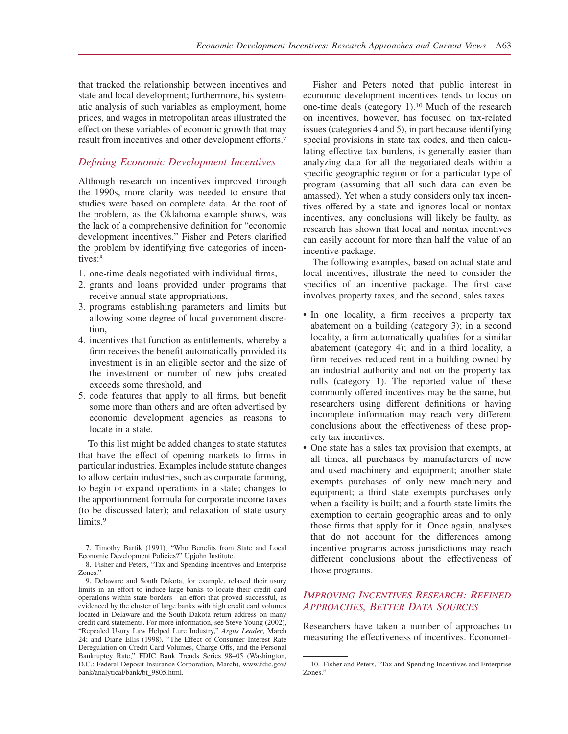that tracked the relationship between incentives and state and local development; furthermore, his systematic analysis of such variables as employment, home prices, and wages in metropolitan areas illustrated the effect on these variables of economic growth that may result from incentives and other development efforts.7

# *Defining Economic Development Incentives*

Although research on incentives improved through the 1990s, more clarity was needed to ensure that studies were based on complete data. At the root of the problem, as the Oklahoma example shows, was the lack of a comprehensive definition for "economic development incentives." Fisher and Peters clarified the problem by identifying five categories of incentives:8

- 1. one-time deals negotiated with individual firms,
- 2. grants and loans provided under programs that receive annual state appropriations,
- 3. programs establishing parameters and limits but allowing some degree of local government discretion,
- 4. incentives that function as entitlements, whereby a firm receives the benefit automatically provided its investment is in an eligible sector and the size of the investment or number of new jobs created exceeds some threshold, and
- 5. code features that apply to all firms, but benefit some more than others and are often advertised by economic development agencies as reasons to locate in a state.

To this list might be added changes to state statutes that have the effect of opening markets to firms in particular industries. Examples include statute changes to allow certain industries, such as corporate farming, to begin or expand operations in a state; changes to the apportionment formula for corporate income taxes (to be discussed later); and relaxation of state usury limits.<sup>9</sup>

Fisher and Peters noted that public interest in economic development incentives tends to focus on one-time deals (category 1).10 Much of the research on incentives, however, has focused on tax-related issues (categories 4 and 5), in part because identifying special provisions in state tax codes, and then calculating effective tax burdens, is generally easier than analyzing data for all the negotiated deals within a specific geographic region or for a particular type of program (assuming that all such data can even be amassed). Yet when a study considers only tax incentives offered by a state and ignores local or nontax incentives, any conclusions will likely be faulty, as research has shown that local and nontax incentives can easily account for more than half the value of an incentive package.

The following examples, based on actual state and local incentives, illustrate the need to consider the specifics of an incentive package. The first case involves property taxes, and the second, sales taxes.

- In one locality, a firm receives a property tax abatement on a building (category 3); in a second locality, a firm automatically qualifies for a similar abatement (category 4); and in a third locality, a firm receives reduced rent in a building owned by an industrial authority and not on the property tax rolls (category 1). The reported value of these commonly offered incentives may be the same, but researchers using different definitions or having incomplete information may reach very different conclusions about the effectiveness of these property tax incentives.
- One state has a sales tax provision that exempts, at all times, all purchases by manufacturers of new and used machinery and equipment; another state exempts purchases of only new machinery and equipment; a third state exempts purchases only when a facility is built; and a fourth state limits the exemption to certain geographic areas and to only those firms that apply for it. Once again, analyses that do not account for the differences among incentive programs across jurisdictions may reach different conclusions about the effectiveness of those programs.

# *IMPROVING INCENTIVES RESEARCH: REFINED APPROACHES, BETTER DATA SOURCES*

Researchers have taken a number of approaches to measuring the effectiveness of incentives. Economet-

<sup>7.</sup> Timothy Bartik (1991), "Who Benefits from State and Local Economic Development Policies?" Upjohn Institute.

<sup>8.</sup> Fisher and Peters, "Tax and Spending Incentives and Enterprise Zones."

<sup>9.</sup> Delaware and South Dakota, for example, relaxed their usury limits in an effort to induce large banks to locate their credit card operations within state borders—an effort that proved successful, as evidenced by the cluster of large banks with high credit card volumes located in Delaware and the South Dakota return address on many credit card statements. For more information, see Steve Young (2002), "Repealed Usury Law Helped Lure Industry," *Argus Leader*, March 24; and Diane Ellis (1998), "The Effect of Consumer Interest Rate Deregulation on Credit Card Volumes, Charge-Offs, and the Personal Bankruptcy Rate," FDIC Bank Trends Series 98–05 (Washington, D.C.: Federal Deposit Insurance Corporation, March), www.fdic.gov/ bank/analytical/bank/bt\_9805.html.

<sup>10.</sup> Fisher and Peters, "Tax and Spending Incentives and Enterprise Zones."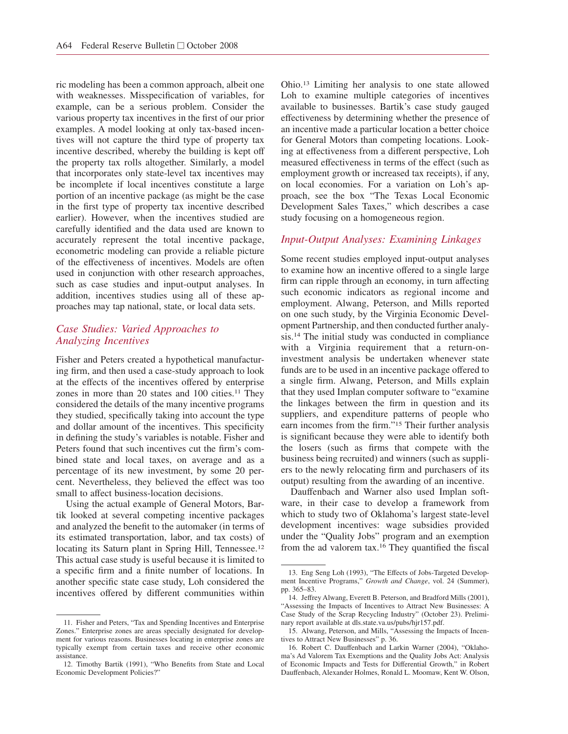ric modeling has been a common approach, albeit one with weaknesses. Misspecification of variables, for example, can be a serious problem. Consider the various property tax incentives in the first of our prior examples. A model looking at only tax-based incentives will not capture the third type of property tax incentive described, whereby the building is kept off the property tax rolls altogether. Similarly, a model that incorporates only state-level tax incentives may be incomplete if local incentives constitute a large portion of an incentive package (as might be the case in the first type of property tax incentive described earlier). However, when the incentives studied are carefully identified and the data used are known to accurately represent the total incentive package, econometric modeling can provide a reliable picture of the effectiveness of incentives. Models are often used in conjunction with other research approaches, such as case studies and input-output analyses. In addition, incentives studies using all of these approaches may tap national, state, or local data sets.

## *Case Studies: Varied Approaches to Analyzing Incentives*

Fisher and Peters created a hypothetical manufacturing firm, and then used a case-study approach to look at the effects of the incentives offered by enterprise zones in more than 20 states and 100 cities.<sup>11</sup> They considered the details of the many incentive programs they studied, specifically taking into account the type and dollar amount of the incentives. This specificity in defining the study's variables is notable. Fisher and Peters found that such incentives cut the firm's combined state and local taxes, on average and as a percentage of its new investment, by some 20 percent. Nevertheless, they believed the effect was too small to affect business-location decisions.

Using the actual example of General Motors, Bartik looked at several competing incentive packages and analyzed the benefit to the automaker (in terms of its estimated transportation, labor, and tax costs) of locating its Saturn plant in Spring Hill, Tennessee.<sup>12</sup> This actual case study is useful because it is limited to a specific firm and a finite number of locations. In another specific state case study, Loh considered the incentives offered by different communities within Ohio.13 Limiting her analysis to one state allowed Loh to examine multiple categories of incentives available to businesses. Bartik's case study gauged effectiveness by determining whether the presence of an incentive made a particular location a better choice for General Motors than competing locations. Looking at effectiveness from a different perspective, Loh measured effectiveness in terms of the effect (such as employment growth or increased tax receipts), if any, on local economies. For a variation on Loh's approach, see the box "The Texas Local Economic Development Sales Taxes," which describes a case study focusing on a homogeneous region.

# *Input-Output Analyses: Examining Linkages*

Some recent studies employed input-output analyses to examine how an incentive offered to a single large firm can ripple through an economy, in turn affecting such economic indicators as regional income and employment. Alwang, Peterson, and Mills reported on one such study, by the Virginia Economic Development Partnership, and then conducted further analysis.14 The initial study was conducted in compliance with a Virginia requirement that a return-oninvestment analysis be undertaken whenever state funds are to be used in an incentive package offered to a single firm. Alwang, Peterson, and Mills explain that they used Implan computer software to "examine the linkages between the firm in question and its suppliers, and expenditure patterns of people who earn incomes from the firm."15 Their further analysis is significant because they were able to identify both the losers (such as firms that compete with the business being recruited) and winners (such as suppliers to the newly relocating firm and purchasers of its output) resulting from the awarding of an incentive.

Dauffenbach and Warner also used Implan software, in their case to develop a framework from which to study two of Oklahoma's largest state-level development incentives: wage subsidies provided under the "Quality Jobs" program and an exemption from the ad valorem tax.16 They quantified the fiscal

<sup>11.</sup> Fisher and Peters, "Tax and Spending Incentives and Enterprise Zones." Enterprise zones are areas specially designated for development for various reasons. Businesses locating in enterprise zones are typically exempt from certain taxes and receive other economic assistance.

<sup>12.</sup> Timothy Bartik (1991), "Who Benefits from State and Local Economic Development Policies?"

<sup>13.</sup> Eng Seng Loh (1993), "The Effects of Jobs-Targeted Development Incentive Programs," *Growth and Change*, vol. 24 (Summer), pp. 365–83.

<sup>14.</sup> Jeffrey Alwang, Everett B. Peterson, and Bradford Mills (2001), "Assessing the Impacts of Incentives to Attract New Businesses: A Case Study of the Scrap Recycling Industry" (October 23). Preliminary report available at dls.state.va.us/pubs/hjr157.pdf.

<sup>15.</sup> Alwang, Peterson, and Mills, "Assessing the Impacts of Incentives to Attract New Businesses" p. 36.

<sup>16.</sup> Robert C. Dauffenbach and Larkin Warner (2004), "Oklahoma's Ad Valorem Tax Exemptions and the Quality Jobs Act: Analysis of Economic Impacts and Tests for Differential Growth," in Robert Dauffenbach, Alexander Holmes, Ronald L. Moomaw, Kent W. Olson,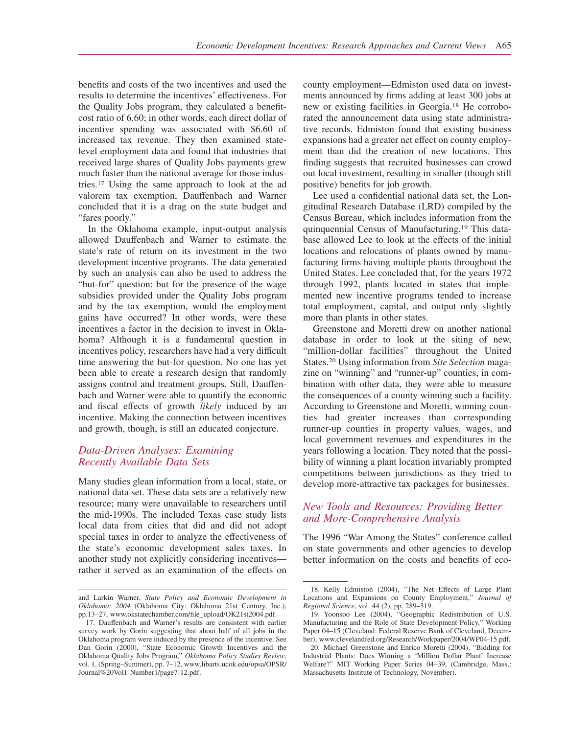benefits and costs of the two incentives and used the results to determine the incentives' effectiveness. For the Quality Jobs program, they calculated a benefitcost ratio of 6.60; in other words, each direct dollar of incentive spending was associated with \$6.60 of increased tax revenue. They then examined statelevel employment data and found that industries that received large shares of Quality Jobs payments grew much faster than the national average for those industries.17 Using the same approach to look at the ad valorem tax exemption, Dauffenbach and Warner concluded that it is a drag on the state budget and "fares poorly."

In the Oklahoma example, input-output analysis allowed Dauffenbach and Warner to estimate the state's rate of return on its investment in the two development incentive programs. The data generated by such an analysis can also be used to address the "but-for" question: but for the presence of the wage subsidies provided under the Quality Jobs program and by the tax exemption, would the employment gains have occurred? In other words, were these incentives a factor in the decision to invest in Oklahoma? Although it is a fundamental question in incentives policy, researchers have had a very difficult time answering the but-for question. No one has yet been able to create a research design that randomly assigns control and treatment groups. Still, Dauffenbach and Warner were able to quantify the economic and fiscal effects of growth *likely* induced by an incentive. Making the connection between incentives and growth, though, is still an educated conjecture.

# *Data-Driven Analyses: Examining Recently Available Data Sets*

Many studies glean information from a local, state, or national data set. These data sets are a relatively new resource; many were unavailable to researchers until the mid-1990s. The included Texas case study lists local data from cities that did and did not adopt special taxes in order to analyze the effectiveness of the state's economic development sales taxes. In another study not explicitly considering incentives rather it served as an examination of the effects on

county employment—Edmiston used data on investments announced by firms adding at least 300 jobs at new or existing facilities in Georgia.18 He corroborated the announcement data using state administrative records. Edmiston found that existing business expansions had a greater net effect on county employment than did the creation of new locations. This finding suggests that recruited businesses can crowd out local investment, resulting in smaller (though still positive) benefits for job growth.

Lee used a confidential national data set, the Longitudinal Research Database (LRD) compiled by the Census Bureau, which includes information from the quinquennial Census of Manufacturing.19 This database allowed Lee to look at the effects of the initial locations and relocations of plants owned by manufacturing firms having multiple plants throughout the United States. Lee concluded that, for the years 1972 through 1992, plants located in states that implemented new incentive programs tended to increase total employment, capital, and output only slightly more than plants in other states.

Greenstone and Moretti drew on another national database in order to look at the siting of new, "million-dollar facilities" throughout the United States.20 Using information from *Site Selection* magazine on "winning" and "runner-up" counties, in combination with other data, they were able to measure the consequences of a county winning such a facility. According to Greenstone and Moretti, winning counties had greater increases than corresponding runner-up counties in property values, wages, and local government revenues and expenditures in the years following a location. They noted that the possibility of winning a plant location invariably prompted competitions between jurisdictions as they tried to develop more-attractive tax packages for businesses.

# *New Tools and Resources: Providing Better and More-Comprehensive Analysis*

The 1996 "War Among the States" conference called on state governments and other agencies to develop better information on the costs and benefits of eco-

and Larkin Warner, *State Policy and Economic Development in Oklahoma: 2004* (Oklahoma City: Oklahoma 21st Century, Inc.), pp.13–27, www.okstatechamber.com/file\_upload/OK21st2004.pdf.

<sup>17.</sup> Dauffenbach and Warner's results are consistent with earlier survey work by Gorin suggesting that about half of all jobs in the Oklahoma program were induced by the presence of the incentive. See Dan Gorin (2000), "State Economic Growth Incentives and the Oklahoma Quality Jobs Program," *Oklahoma Policy Studies Review*, vol. 1, (Spring–Summer), pp. 7–12, www.libarts.ucok.edu/opsa/OPSR/ Journal%20Vol1-Number1/page7-12.pdf.

<sup>18.</sup> Kelly Edmiston (2004), "The Net Effects of Large Plant Locations and Expansions on County Employment," *Journal of Regional Science*, vol. 44 (2), pp. 289–319.

<sup>19.</sup> Yoonsoo Lee (2004), "Geographic Redistribution of U.S. Manufacturing and the Role of State Development Policy," Working Paper 04–15 (Cleveland: Federal Reserve Bank of Cleveland, December), www.clevelandfed.org/Research/Workpaper/2004/WP04-15.pdf.

<sup>20.</sup> Michael Greenstone and Enrico Moretti (2004), "Bidding for Industrial Plants: Does Winning a 'Million Dollar Plant' Increase Welfare?" MIT Working Paper Series 04–39, (Cambridge, Mass.: Massachusetts Institute of Technology, November).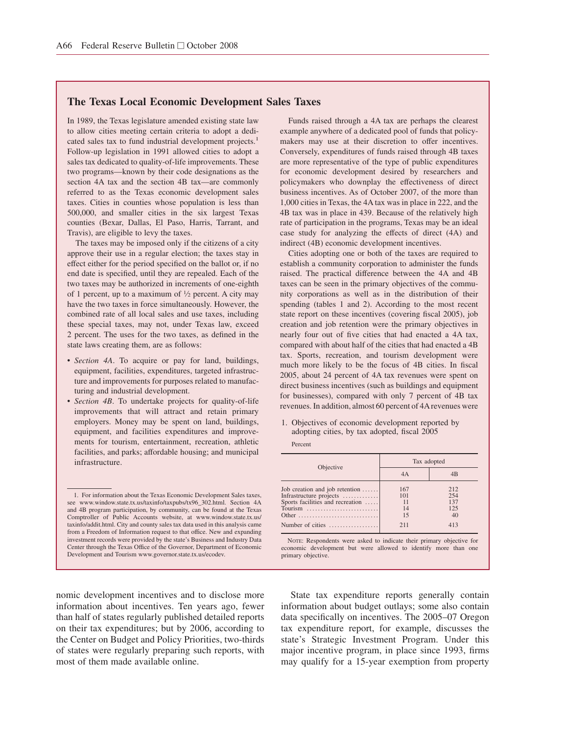## **The Texas Local Economic Development Sales Taxes**

In 1989, the Texas legislature amended existing state law to allow cities meeting certain criteria to adopt a dedicated sales tax to fund industrial development projects.<sup>1</sup> Follow-up legislation in 1991 allowed cities to adopt a sales tax dedicated to quality-of-life improvements. These two programs—known by their code designations as the section 4A tax and the section 4B tax—are commonly referred to as the Texas economic development sales taxes. Cities in counties whose population is less than 500,000, and smaller cities in the six largest Texas counties (Bexar, Dallas, El Paso, Harris, Tarrant, and Travis), are eligible to levy the taxes.

The taxes may be imposed only if the citizens of a city approve their use in a regular election; the taxes stay in effect either for the period specified on the ballot or, if no end date is specified, until they are repealed. Each of the two taxes may be authorized in increments of one-eighth of 1 percent, up to a maximum of  $\frac{1}{2}$  percent. A city may have the two taxes in force simultaneously. However, the combined rate of all local sales and use taxes, including these special taxes, may not, under Texas law, exceed 2 percent. The uses for the two taxes, as defined in the state laws creating them, are as follows:

- *Section 4A*. To acquire or pay for land, buildings, equipment, facilities, expenditures, targeted infrastructure and improvements for purposes related to manufacturing and industrial development.
- *Section 4B*. To undertake projects for quality-of-life improvements that will attract and retain primary employers. Money may be spent on land, buildings, equipment, and facilities expenditures and improvements for tourism, entertainment, recreation, athletic facilities, and parks; affordable housing; and municipal infrastructure.

Funds raised through a 4A tax are perhaps the clearest example anywhere of a dedicated pool of funds that policymakers may use at their discretion to offer incentives. Conversely, expenditures of funds raised through 4B taxes are more representative of the type of public expenditures for economic development desired by researchers and policymakers who downplay the effectiveness of direct business incentives. As of October 2007, of the more than 1,000 cities in Texas, the 4A tax was in place in 222, and the 4B tax was in place in 439. Because of the relatively high rate of participation in the programs, Texas may be an ideal case study for analyzing the effects of direct (4A) and indirect (4B) economic development incentives.

Cities adopting one or both of the taxes are required to establish a community corporation to administer the funds raised. The practical difference between the 4A and 4B taxes can be seen in the primary objectives of the community corporations as well as in the distribution of their spending (tables 1 and 2). According to the most recent state report on these incentives (covering fiscal 2005), job creation and job retention were the primary objectives in nearly four out of five cities that had enacted a 4A tax, compared with about half of the cities that had enacted a 4B tax. Sports, recreation, and tourism development were much more likely to be the focus of 4B cities. In fiscal 2005, about 24 percent of 4A tax revenues were spent on direct business incentives (such as buildings and equipment for businesses), compared with only 7 percent of 4B tax revenues. In addition, almost 60 percent of 4Arevenues were

1. Objectives of economic development reported by adopting cities, by tax adopted, fiscal 2005 Percent

| Objective                                                                                                                   | Tax adopted            |                          |  |
|-----------------------------------------------------------------------------------------------------------------------------|------------------------|--------------------------|--|
|                                                                                                                             | 4A                     | 4B                       |  |
| Job creation and job retention $\dots$ .<br>Infrastructure projects<br>Sports facilities and recreation<br>Tourism<br>Other | 167<br>101<br>14<br>15 | 212<br>254<br>137<br>125 |  |
| Number of cities $\dots\dots\dots\dots\dots$                                                                                | 211                    | 413                      |  |

NOTE: Respondents were asked to indicate their primary objective for economic development but were allowed to identify more than one primary objective.

nomic development incentives and to disclose more information about incentives. Ten years ago, fewer than half of states regularly published detailed reports on their tax expenditures; but by 2006, according to the Center on Budget and Policy Priorities, two-thirds of states were regularly preparing such reports, with most of them made available online.

State tax expenditure reports generally contain information about budget outlays; some also contain data specifically on incentives. The 2005–07 Oregon tax expenditure report, for example, discusses the state's Strategic Investment Program. Under this major incentive program, in place since 1993, firms may qualify for a 15-year exemption from property

<sup>1.</sup> For information about the Texas Economic Development Sales taxes, see www.window.state.tx.us/taxinfo/taxpubs/tx96\_302.html. Section 4A and 4B program participation, by community, can be found at the Texas Comptroller of Public Accounts website, at www.window.state.tx.us/ taxinfo/addit.html. City and county sales tax data used in this analysis came from a Freedom of Information request to that office. New and expanding investment records were provided by the state's Business and Industry Data Center through the Texas Office of the Governor, Department of Economic Development and Tourism www.governor.state.tx.us/ecodev.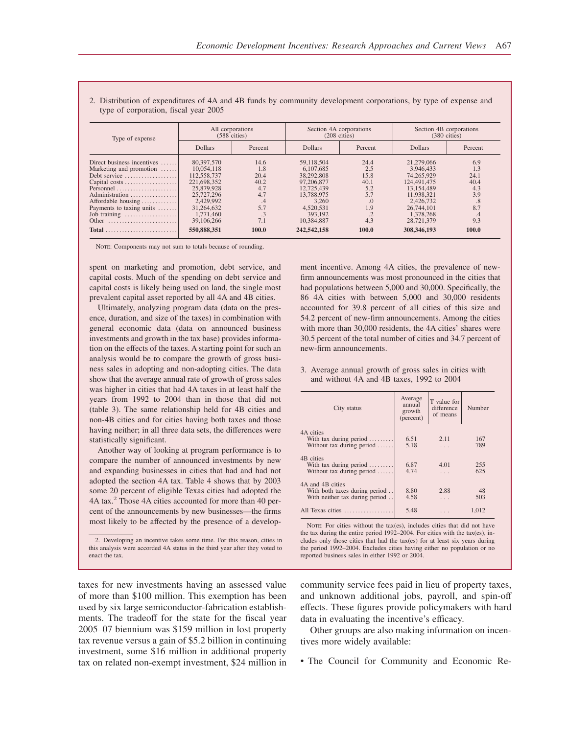| Type of expense                    | All corporations<br>$(588 \text{ cities})$ |         | Section 4A corporations<br>$(208 \text{ cities})$ |                          | Section 4B corporations<br>$(380 \text{ cities})$ |         |
|------------------------------------|--------------------------------------------|---------|---------------------------------------------------|--------------------------|---------------------------------------------------|---------|
|                                    | <b>Dollars</b>                             | Percent | <b>Dollars</b>                                    | Percent                  | <b>Dollars</b>                                    | Percent |
| Direct business incentives $\dots$ | 80,397,570                                 | 14.6    | 59,118,504                                        | 24.4                     | 21,279,066                                        | 6.9     |
| Marketing and promotion            | 10.054.118                                 | 1.8     | 6.107.685                                         | 2.5                      | 3.946.433                                         | 1.3     |
| Debt service                       | 112,558,737                                | 20.4    | 38,292,808                                        | 15.8                     | 74.265.929                                        | 24.1    |
| Capital costs                      | 221,698,352                                | 40.2    | 97,206,877                                        | 40.1                     | 124,491,475                                       | 40.4    |
| Personnel                          | 25,879,928                                 | 4.7     | 12,725,439                                        | 5.2                      | 13,154,489                                        | 4.3     |
| Administration                     | 25,727,296                                 | 4.7     | 13.788.975                                        | 5.7                      | 11.938.321                                        | 3.9     |
| Affordable housing                 | 2.429,992                                  | .4      | 3.260                                             |                          | 2.426.732                                         | .8      |
| Payments to taxing units           | 31.264,632                                 | 5.7     | 4,520,531                                         | 1.9                      | 26,744,101                                        | 8.7     |
| Job training                       | 1,771,460                                  | .3      | 393,192                                           | $\overline{\phantom{a}}$ | 1.378.268                                         | .4      |
| Other                              | 39,106,266                                 | 7.1     | 10.384.887                                        | 4.3                      | 28,721,379                                        | 9.3     |
|                                    | 550,888,351                                | 100.0   | 242,542,158                                       | 100.0                    | 308,346,193                                       | 100.0   |

2. Distribution of expenditures of 4A and 4B funds by community development corporations, by type of expense and type of corporation, fiscal year 2005

NOTE: Components may not sum to totals because of rounding.

spent on marketing and promotion, debt service, and capital costs. Much of the spending on debt service and capital costs is likely being used on land, the single most prevalent capital asset reported by all 4A and 4B cities.

Ultimately, analyzing program data (data on the presence, duration, and size of the taxes) in combination with general economic data (data on announced business investments and growth in the tax base) provides information on the effects of the taxes. A starting point for such an analysis would be to compare the growth of gross business sales in adopting and non-adopting cities. The data show that the average annual rate of growth of gross sales was higher in cities that had 4A taxes in at least half the years from 1992 to 2004 than in those that did not (table 3). The same relationship held for 4B cities and non-4B cities and for cities having both taxes and those having neither; in all three data sets, the differences were statistically significant.

Another way of looking at program performance is to compare the number of announced investments by new and expanding businesses in cities that had and had not adopted the section 4A tax. Table 4 shows that by 2003 some 20 percent of eligible Texas cities had adopted the 4A tax.<sup>2</sup> Those 4A cities accounted for more than 40 percent of the announcements by new businesses—the firms most likely to be affected by the presence of a develop-

2. Developing an incentive takes some time. For this reason, cities in this analysis were accorded 4A status in the third year after they voted to enact the tax.

taxes for new investments having an assessed value of more than \$100 million. This exemption has been used by six large semiconductor-fabrication establishments. The tradeoff for the state for the fiscal year 2005–07 biennium was \$159 million in lost property tax revenue versus a gain of \$5.2 billion in continuing investment, some \$16 million in additional property tax on related non-exempt investment, \$24 million in ment incentive. Among 4A cities, the prevalence of newfirm announcements was most pronounced in the cities that had populations between 5,000 and 30,000. Specifically, the 86 4A cities with between 5,000 and 30,000 residents accounted for 39.8 percent of all cities of this size and 54.2 percent of new-firm announcements. Among the cities with more than 30,000 residents, the 4A cities' shares were 30.5 percent of the total number of cities and 34.7 percent of new-firm announcements.

#### 3. Average annual growth of gross sales in cities with and without 4A and 4B taxes, 1992 to 2004

| City status                                                                         | Average<br>annual<br>growth<br>(percent) | T value for<br>difference<br>of means | Number     |
|-------------------------------------------------------------------------------------|------------------------------------------|---------------------------------------|------------|
| 4A cities<br>With tax during period<br>Without tax during period                    | 6.51<br>5.18                             | 2.11<br>$\cdots$                      | 167<br>789 |
| 4B cities<br>With tax during period $\ldots$<br>Without tax during period           | 6.87<br>4.74                             | 4.01<br>$\cdots$                      | 255<br>625 |
| 4A and 4B cities<br>With both taxes during period<br>With neither tax during period | 8.80<br>4.58                             | 2.88<br>$\cdots$                      | 48<br>503  |
| All Texas cities                                                                    | 5.48                                     |                                       | 1,012      |

NOTE: For cities without the tax(es), includes cities that did not have the tax during the entire period 1992–2004. For cities with the tax(es), includes only those cities that had the tax(es) for at least six years during the period 1992–2004. Excludes cities having either no population or no reported business sales in either 1992 or 2004.

community service fees paid in lieu of property taxes, and unknown additional jobs, payroll, and spin-off effects. These figures provide policymakers with hard data in evaluating the incentive's efficacy.

Other groups are also making information on incentives more widely available:

• The Council for Community and Economic Re-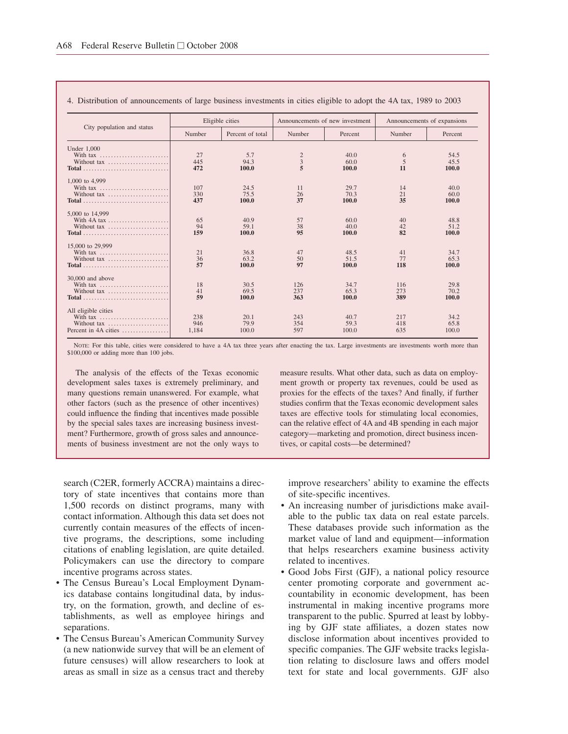| City population and status | Eligible cities |                  | Announcements of new investment |         | Announcements of expansions |         |
|----------------------------|-----------------|------------------|---------------------------------|---------|-----------------------------|---------|
|                            | Number          | Percent of total | Number                          | Percent | Number                      | Percent |
| Under $1.000$              |                 |                  |                                 |         |                             |         |
|                            | 27              | 5.7              | $\frac{2}{3}$                   | 40.0    | 6                           | 54.5    |
| Without tax                | 445             | 94.3             |                                 | 60.0    | 5                           | 45.5    |
|                            | 472             | 100.0            | 5                               | 100.0   | 11                          | 100.0   |
| 1,000 to 4,999             |                 |                  |                                 |         |                             |         |
| With tax                   | 107             | 24.5             | 11                              | 29.7    | 14                          | 40.0    |
| Without tax                | 330             | 75.5             | 26                              | 70.3    | 21                          | 60.0    |
|                            | 437             | 100.0            | 37                              | 100.0   | 35                          | 100.0   |
| 5,000 to 14,999            |                 |                  |                                 |         |                             |         |
|                            | 65              | 40.9             | 57                              | 60.0    | 40                          | 48.8    |
| Without tax                | 94              | 59.1             | 38                              | 40.0    | 42                          | 51.2    |
| Total                      | 159             | 100.0            | 95                              | 100.0   | 82                          | 100.0   |
| 15,000 to 29,999           |                 |                  |                                 |         |                             |         |
|                            | 21              | 36.8             | 47                              | 48.5    | 41                          | 34.7    |
| Without tax                | 36              | 63.2             | 50                              | 51.5    | 77                          | 65.3    |
|                            | 57              | 100.0            | 97                              | 100.0   | 118                         | 100.0   |
| 30,000 and above           |                 |                  |                                 |         |                             |         |
| With tax                   | 18              | 30.5             | 126                             | 34.7    | 116                         | 29.8    |
|                            | 41              | 69.5             | 237                             | 65.3    | 273                         | 70.2    |
| Total                      | 59              | 100.0            | 363                             | 100.0   | 389                         | 100.0   |
|                            |                 |                  |                                 |         |                             |         |
| All eligible cities        |                 |                  |                                 |         |                             |         |
| With tax                   | 238             | 20.1             | 243                             | 40.7    | 217                         | 34.2    |
| Without tax                | 946             | 79.9             | 354                             | 59.3    | 418                         | 65.8    |
| Percent in 4A cities       | 1.184           | 100.0            | 597                             | 100.0   | 635                         | 100.0   |

#### 4. Distribution of announcements of large business investments in cities eligible to adopt the 4A tax, 1989 to 2003

NOTE: For this table, cities were considered to have a 4A tax three years after enacting the tax. Large investments are investments worth more than \$100,000 or adding more than 100 jobs.

The analysis of the effects of the Texas economic development sales taxes is extremely preliminary, and many questions remain unanswered. For example, what other factors (such as the presence of other incentives) could influence the finding that incentives made possible by the special sales taxes are increasing business investment? Furthermore, growth of gross sales and announcements of business investment are not the only ways to

measure results. What other data, such as data on employment growth or property tax revenues, could be used as proxies for the effects of the taxes? And finally, if further studies confirm that the Texas economic development sales taxes are effective tools for stimulating local economies, can the relative effect of 4A and 4B spending in each major category—marketing and promotion, direct business incentives, or capital costs—be determined?

search (C2ER, formerly ACCRA) maintains a directory of state incentives that contains more than 1,500 records on distinct programs, many with contact information. Although this data set does not currently contain measures of the effects of incentive programs, the descriptions, some including citations of enabling legislation, are quite detailed. Policymakers can use the directory to compare incentive programs across states.

- The Census Bureau's Local Employment Dynamics database contains longitudinal data, by industry, on the formation, growth, and decline of establishments, as well as employee hirings and separations.
- The Census Bureau's American Community Survey (a new nationwide survey that will be an element of future censuses) will allow researchers to look at areas as small in size as a census tract and thereby

improve researchers' ability to examine the effects of site-specific incentives.

- An increasing number of jurisdictions make available to the public tax data on real estate parcels. These databases provide such information as the market value of land and equipment—information that helps researchers examine business activity related to incentives.
- Good Jobs First (GJF), a national policy resource center promoting corporate and government accountability in economic development, has been instrumental in making incentive programs more transparent to the public. Spurred at least by lobbying by GJF state affiliates, a dozen states now disclose information about incentives provided to specific companies. The GJF website tracks legislation relating to disclosure laws and offers model text for state and local governments. GJF also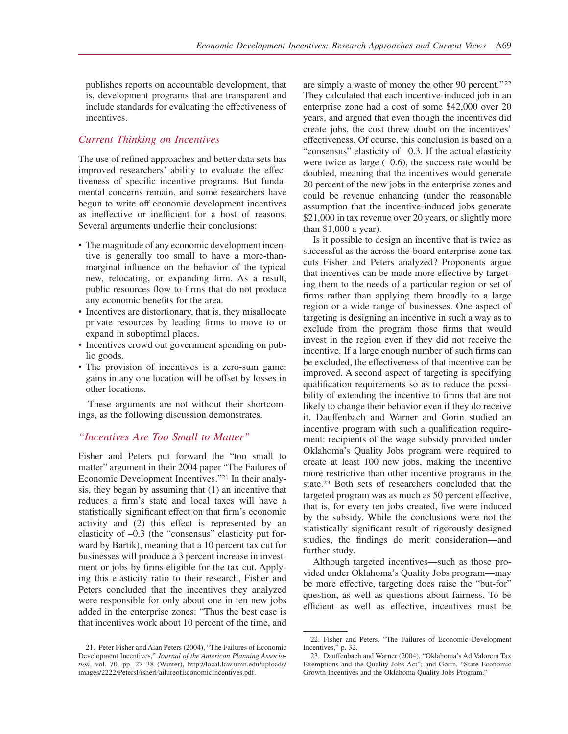publishes reports on accountable development, that is, development programs that are transparent and include standards for evaluating the effectiveness of incentives.

## *Current Thinking on Incentives*

The use of refined approaches and better data sets has improved researchers' ability to evaluate the effectiveness of specific incentive programs. But fundamental concerns remain, and some researchers have begun to write off economic development incentives as ineffective or inefficient for a host of reasons. Several arguments underlie their conclusions:

- The magnitude of any economic development incentive is generally too small to have a more-thanmarginal influence on the behavior of the typical new, relocating, or expanding firm. As a result, public resources flow to firms that do not produce any economic benefits for the area.
- Incentives are distortionary, that is, they misallocate private resources by leading firms to move to or expand in suboptimal places.
- Incentives crowd out government spending on public goods.
- The provision of incentives is a zero-sum game: gains in any one location will be offset by losses in other locations.

These arguments are not without their shortcomings, as the following discussion demonstrates.

## *"Incentives Are Too Small to Matter"*

Fisher and Peters put forward the "too small to matter" argument in their 2004 paper "The Failures of Economic Development Incentives."21 In their analysis, they began by assuming that (1) an incentive that reduces a firm's state and local taxes will have a statistically significant effect on that firm's economic activity and (2) this effect is represented by an elasticity of –0.3 (the "consensus" elasticity put forward by Bartik), meaning that a 10 percent tax cut for businesses will produce a 3 percent increase in investment or jobs by firms eligible for the tax cut. Applying this elasticity ratio to their research, Fisher and Peters concluded that the incentives they analyzed were responsible for only about one in ten new jobs added in the enterprise zones: "Thus the best case is that incentives work about 10 percent of the time, and are simply a waste of money the other 90 percent." <sup>22</sup> They calculated that each incentive-induced job in an enterprise zone had a cost of some \$42,000 over 20 years, and argued that even though the incentives did create jobs, the cost threw doubt on the incentives' effectiveness. Of course, this conclusion is based on a "consensus" elasticity of –0.3. If the actual elasticity were twice as large  $(-0.6)$ , the success rate would be doubled, meaning that the incentives would generate 20 percent of the new jobs in the enterprise zones and could be revenue enhancing (under the reasonable assumption that the incentive-induced jobs generate \$21,000 in tax revenue over 20 years, or slightly more than \$1,000 a year).

Is it possible to design an incentive that is twice as successful as the across-the-board enterprise-zone tax cuts Fisher and Peters analyzed? Proponents argue that incentives can be made more effective by targeting them to the needs of a particular region or set of firms rather than applying them broadly to a large region or a wide range of businesses. One aspect of targeting is designing an incentive in such a way as to exclude from the program those firms that would invest in the region even if they did not receive the incentive. If a large enough number of such firms can be excluded, the effectiveness of that incentive can be improved. A second aspect of targeting is specifying qualification requirements so as to reduce the possibility of extending the incentive to firms that are not likely to change their behavior even if they do receive it. Dauffenbach and Warner and Gorin studied an incentive program with such a qualification requirement: recipients of the wage subsidy provided under Oklahoma's Quality Jobs program were required to create at least 100 new jobs, making the incentive more restrictive than other incentive programs in the state.23 Both sets of researchers concluded that the targeted program was as much as 50 percent effective, that is, for every ten jobs created, five were induced by the subsidy. While the conclusions were not the statistically significant result of rigorously designed studies, the findings do merit consideration—and further study.

Although targeted incentives—such as those provided under Oklahoma's Quality Jobs program—may be more effective, targeting does raise the "but-for" question, as well as questions about fairness. To be efficient as well as effective, incentives must be

<sup>21.</sup> Peter Fisher and Alan Peters (2004), "The Failures of Economic Development Incentives," *Journal of the American Planning Association*, vol. 70, pp. 27–38 (Winter), http://local.law.umn.edu/uploads/ images/2222/PetersFisherFailureofEconomicIncentives.pdf.

<sup>22.</sup> Fisher and Peters, "The Failures of Economic Development Incentives," p. 32.

<sup>23.</sup> Dauffenbach and Warner (2004), "Oklahoma's Ad Valorem Tax Exemptions and the Quality Jobs Act"; and Gorin, "State Economic Growth Incentives and the Oklahoma Quality Jobs Program."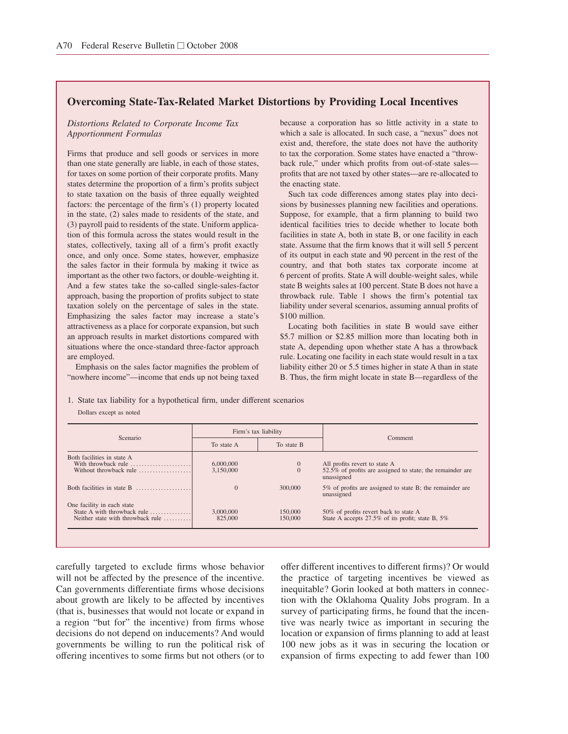# **Overcoming State-Tax-Related Market Distortions by Providing Local Incentives**

#### *Distortions Related to Corporate Income Tax Apportionment Formulas*

Firms that produce and sell goods or services in more than one state generally are liable, in each of those states, for taxes on some portion of their corporate profits. Many states determine the proportion of a firm's profits subject to state taxation on the basis of three equally weighted factors: the percentage of the firm's (1) property located in the state, (2) sales made to residents of the state, and (3) payroll paid to residents of the state. Uniform application of this formula across the states would result in the states, collectively, taxing all of a firm's profit exactly once, and only once. Some states, however, emphasize the sales factor in their formula by making it twice as important as the other two factors, or double-weighting it. And a few states take the so-called single-sales-factor approach, basing the proportion of profits subject to state taxation solely on the percentage of sales in the state. Emphasizing the sales factor may increase a state's attractiveness as a place for corporate expansion, but such an approach results in market distortions compared with situations where the once-standard three-factor approach are employed.

Emphasis on the sales factor magnifies the problem of "nowhere income"—income that ends up not being taxed

because a corporation has so little activity in a state to which a sale is allocated. In such case, a "nexus" does not exist and, therefore, the state does not have the authority to tax the corporation. Some states have enacted a "throwback rule," under which profits from out-of-state sales profits that are not taxed by other states—are re-allocated to the enacting state.

Such tax code differences among states play into decisions by businesses planning new facilities and operations. Suppose, for example, that a firm planning to build two identical facilities tries to decide whether to locate both facilities in state A, both in state B, or one facility in each state. Assume that the firm knows that it will sell 5 percent of its output in each state and 90 percent in the rest of the country, and that both states tax corporate income at 6 percent of profits. State A will double-weight sales, while state B weights sales at 100 percent. State B does not have a throwback rule. Table 1 shows the firm's potential tax liability under several scenarios, assuming annual profits of \$100 million.

Locating both facilities in state B would save either \$5.7 million or \$2.85 million more than locating both in state A, depending upon whether state A has a throwback rule. Locating one facility in each state would result in a tax liability either 20 or 5.5 times higher in state A than in state B. Thus, the firm might locate in state B—regardless of the

1. State tax liability for a hypothetical firm, under different scenarios Dollars except as noted

| Scenario                                                                                       |                        | Firm's tax liability           |                                                                                                          |  |
|------------------------------------------------------------------------------------------------|------------------------|--------------------------------|----------------------------------------------------------------------------------------------------------|--|
|                                                                                                | To state A             | To state B                     | Comment                                                                                                  |  |
| Both facilities in state A<br>With throwback rule<br>Without throwback rule                    | 6,000,000<br>3.150,000 | $\mathbf{0}$<br>$\overline{0}$ | All profits revert to state A<br>52.5% of profits are assigned to state; the remainder are<br>unassigned |  |
| Both facilities in state $B$                                                                   | $\Omega$               | 300,000                        | 5% of profits are assigned to state B; the remainder are<br>unassigned                                   |  |
| One facility in each state<br>State A with throwback rule<br>Neither state with throwback rule | 3,000,000<br>825,000   | 150,000<br>150,000             | 50% of profits revert back to state A<br>State A accepts 27.5% of its profit; state B, 5%                |  |

carefully targeted to exclude firms whose behavior will not be affected by the presence of the incentive. Can governments differentiate firms whose decisions about growth are likely to be affected by incentives (that is, businesses that would not locate or expand in a region "but for" the incentive) from firms whose decisions do not depend on inducements? And would governments be willing to run the political risk of offering incentives to some firms but not others (or to offer different incentives to different firms)? Or would the practice of targeting incentives be viewed as inequitable? Gorin looked at both matters in connection with the Oklahoma Quality Jobs program. In a survey of participating firms, he found that the incentive was nearly twice as important in securing the location or expansion of firms planning to add at least 100 new jobs as it was in securing the location or expansion of firms expecting to add fewer than 100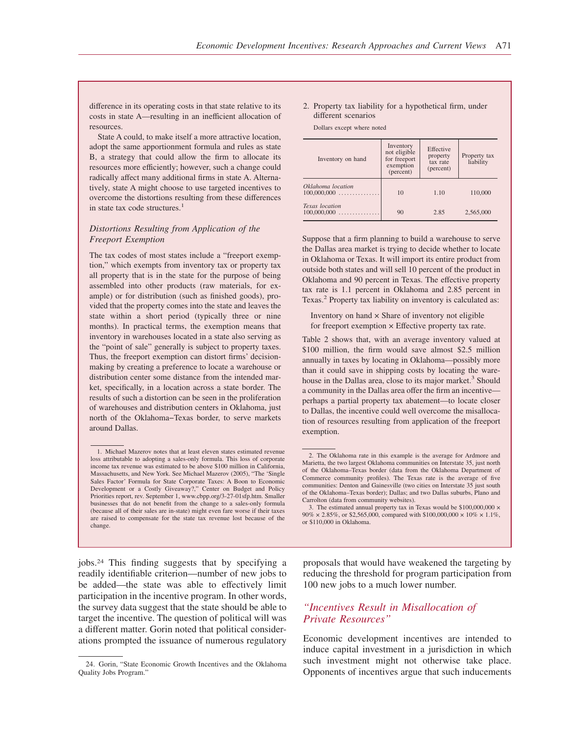difference in its operating costs in that state relative to its costs in state A—resulting in an inefficient allocation of resources.

State A could, to make itself a more attractive location, adopt the same apportionment formula and rules as state B, a strategy that could allow the firm to allocate its resources more efficiently; however, such a change could radically affect many additional firms in state A. Alternatively, state A might choose to use targeted incentives to overcome the distortions resulting from these differences in state tax code structures.<sup>1</sup>

## *Distortions Resulting from Application of the Freeport Exemption*

The tax codes of most states include a "freeport exemption," which exempts from inventory tax or property tax all property that is in the state for the purpose of being assembled into other products (raw materials, for example) or for distribution (such as finished goods), provided that the property comes into the state and leaves the state within a short period (typically three or nine months). In practical terms, the exemption means that inventory in warehouses located in a state also serving as the "point of sale" generally is subject to property taxes. Thus, the freeport exemption can distort firms' decisionmaking by creating a preference to locate a warehouse or distribution center some distance from the intended market, specifically, in a location across a state border. The results of such a distortion can be seen in the proliferation of warehouses and distribution centers in Oklahoma, just north of the Oklahoma−Texas border, to serve markets around Dallas.

#### 2. Property tax liability for a hypothetical firm, under different scenarios

Dollars except where noted

| Inventory on hand                  | Inventory<br>not eligible<br>for freeport<br>exemption<br>(percent) | Effective<br>property<br>tax rate<br>(percent) | Property tax<br>liability |
|------------------------------------|---------------------------------------------------------------------|------------------------------------------------|---------------------------|
| Oklahoma location<br>$100,000,000$ | 10                                                                  | 1.10                                           | 110,000                   |
| Texas location<br>$100,000,000$    | 90                                                                  | 2.85                                           | 2,565,000                 |

Suppose that a firm planning to build a warehouse to serve the Dallas area market is trying to decide whether to locate in Oklahoma or Texas. It will import its entire product from outside both states and will sell 10 percent of the product in Oklahoma and 90 percent in Texas. The effective property tax rate is 1.1 percent in Oklahoma and 2.85 percent in Texas.<sup>2</sup> Property tax liability on inventory is calculated as:

Inventory on hand  $\times$  Share of inventory not eligible for freeport exemption  $\times$  Effective property tax rate.

Table 2 shows that, with an average inventory valued at \$100 million, the firm would save almost \$2.5 million annually in taxes by locating in Oklahoma—possibly more than it could save in shipping costs by locating the warehouse in the Dallas area, close to its major market.<sup>3</sup> Should a community in the Dallas area offer the firm an incentive perhaps a partial property tax abatement—to locate closer to Dallas, the incentive could well overcome the misallocation of resources resulting from application of the freeport exemption.

jobs.24 This finding suggests that by specifying a readily identifiable criterion—number of new jobs to be added—the state was able to effectively limit participation in the incentive program. In other words, the survey data suggest that the state should be able to target the incentive. The question of political will was a different matter. Gorin noted that political considerations prompted the issuance of numerous regulatory

proposals that would have weakened the targeting by reducing the threshold for program participation from 100 new jobs to a much lower number.

# *"Incentives Result in Misallocation of Private Resources"*

Economic development incentives are intended to induce capital investment in a jurisdiction in which such investment might not otherwise take place. Opponents of incentives argue that such inducements

<sup>1.</sup> Michael Mazerov notes that at least eleven states estimated revenue loss attributable to adopting a sales-only formula. This loss of corporate income tax revenue was estimated to be above \$100 million in California, Massachusetts, and New York. See Michael Mazerov (2005), "The 'Single Sales Factor' Formula for State Corporate Taxes: A Boon to Economic Development or a Costly Giveaway?," Center on Budget and Policy Priorities report, rev. September 1, www.cbpp.org/3-27-01sfp.htm. Smaller businesses that do not benefit from the change to a sales-only formula (because all of their sales are in-state) might even fare worse if their taxes are raised to compensate for the state tax revenue lost because of the change.

<sup>2.</sup> The Oklahoma rate in this example is the average for Ardmore and Marietta, the two largest Oklahoma communities on Interstate 35, just north of the Oklahoma–Texas border (data from the Oklahoma Department of Commerce community profiles). The Texas rate is the average of five communities: Denton and Gainesville (two cities on Interstate 35 just south of the Oklahoma–Texas border); Dallas; and two Dallas suburbs, Plano and Carrolton (data from community websites).

<sup>3.</sup> The estimated annual property tax in Texas would be \$100,000,000  $\times$  $90\% \times 2.85\%,$  or \$2,565,000, compared with \$100,000,000  $\times$  10%  $\times$  1.1%, or \$110,000 in Oklahoma.

<sup>24.</sup> Gorin, "State Economic Growth Incentives and the Oklahoma Quality Jobs Program."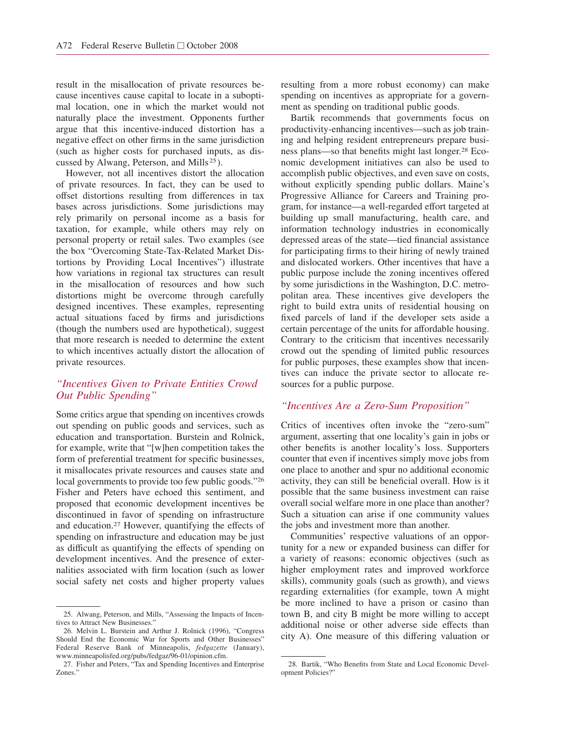result in the misallocation of private resources because incentives cause capital to locate in a suboptimal location, one in which the market would not naturally place the investment. Opponents further argue that this incentive-induced distortion has a negative effect on other firms in the same jurisdiction (such as higher costs for purchased inputs, as discussed by Alwang, Peterson, and Mills <sup>25</sup> ).

However, not all incentives distort the allocation of private resources. In fact, they can be used to offset distortions resulting from differences in tax bases across jurisdictions. Some jurisdictions may rely primarily on personal income as a basis for taxation, for example, while others may rely on personal property or retail sales. Two examples (see the box "Overcoming State-Tax-Related Market Distortions by Providing Local Incentives") illustrate how variations in regional tax structures can result in the misallocation of resources and how such distortions might be overcome through carefully designed incentives. These examples, representing actual situations faced by firms and jurisdictions (though the numbers used are hypothetical), suggest that more research is needed to determine the extent to which incentives actually distort the allocation of private resources.

# *"Incentives Given to Private Entities Crowd Out Public Spending"*

Some critics argue that spending on incentives crowds out spending on public goods and services, such as education and transportation. Burstein and Rolnick, for example, write that "[w]hen competition takes the form of preferential treatment for specific businesses, it misallocates private resources and causes state and local governments to provide too few public goods."<sup>26</sup> Fisher and Peters have echoed this sentiment, and proposed that economic development incentives be discontinued in favor of spending on infrastructure and education.27 However, quantifying the effects of spending on infrastructure and education may be just as difficult as quantifying the effects of spending on development incentives. And the presence of externalities associated with firm location (such as lower social safety net costs and higher property values resulting from a more robust economy) can make spending on incentives as appropriate for a government as spending on traditional public goods.

Bartik recommends that governments focus on productivity-enhancing incentives—such as job training and helping resident entrepreneurs prepare business plans—so that benefits might last longer.28 Economic development initiatives can also be used to accomplish public objectives, and even save on costs, without explicitly spending public dollars. Maine's Progressive Alliance for Careers and Training program, for instance—a well-regarded effort targeted at building up small manufacturing, health care, and information technology industries in economically depressed areas of the state—tied financial assistance for participating firms to their hiring of newly trained and dislocated workers. Other incentives that have a public purpose include the zoning incentives offered by some jurisdictions in the Washington, D.C. metropolitan area. These incentives give developers the right to build extra units of residential housing on fixed parcels of land if the developer sets aside a certain percentage of the units for affordable housing. Contrary to the criticism that incentives necessarily crowd out the spending of limited public resources for public purposes, these examples show that incentives can induce the private sector to allocate resources for a public purpose.

### *"Incentives Are a Zero-Sum Proposition"*

Critics of incentives often invoke the "zero-sum" argument, asserting that one locality's gain in jobs or other benefits is another locality's loss. Supporters counter that even if incentives simply move jobs from one place to another and spur no additional economic activity, they can still be beneficial overall. How is it possible that the same business investment can raise overall social welfare more in one place than another? Such a situation can arise if one community values the jobs and investment more than another.

Communities' respective valuations of an opportunity for a new or expanded business can differ for a variety of reasons: economic objectives (such as higher employment rates and improved workforce skills), community goals (such as growth), and views regarding externalities (for example, town A might be more inclined to have a prison or casino than town B, and city B might be more willing to accept additional noise or other adverse side effects than city A). One measure of this differing valuation or

<sup>25.</sup> Alwang, Peterson, and Mills, "Assessing the Impacts of Incentives to Attract New Businesses."

<sup>26.</sup> Melvin L. Burstein and Arthur J. Rolnick (1996), "Congress Should End the Economic War for Sports and Other Businesses" Federal Reserve Bank of Minneapolis, *fedgazette* (January), www.minneapolisfed.org/pubs/fedgaz/96-01/opinion.cfm.

<sup>27.</sup> Fisher and Peters, "Tax and Spending Incentives and Enterprise Zones."

<sup>28.</sup> Bartik, "Who Benefits from State and Local Economic Development Policies?"